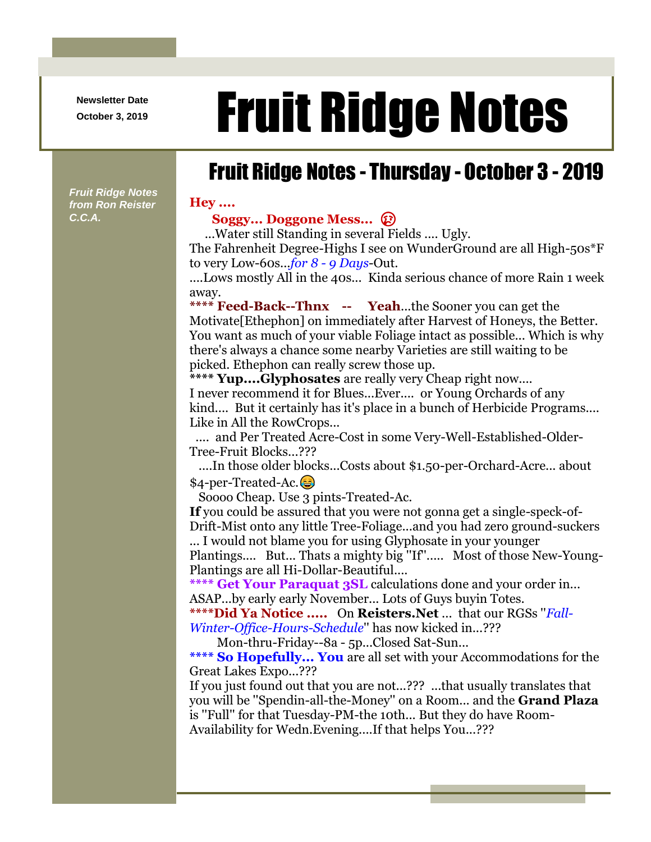**Newsletter Date**

## Newsletter Date **Fruit Ridge Notes**

## Fruit Ridge Notes - Thursday - October 3 - 2019

*Fruit Ridge Notes from Ron Reister C.C.A.*

## **Hey ....**

**Soggy... Doggone Mess...** 

...Water still Standing in several Fields .... Ugly. The Fahrenheit Degree-Highs I see on WunderGround are all High-50s\*F to very Low-60s...*for 8 - 9 Days*-Out.

....Lows mostly All in the 40s... Kinda serious chance of more Rain 1 week away.

**\*\*\*\* Feed-Back--Thnx -- Yeah**...the Sooner you can get the Motivate[Ethephon] on immediately after Harvest of Honeys, the Better. You want as much of your viable Foliage intact as possible... Which is why there's always a chance some nearby Varieties are still waiting to be picked. Ethephon can really screw those up.

**\*\*\*\* Yup....Glyphosates** are really very Cheap right now.... I never recommend it for Blues...Ever.... or Young Orchards of any kind.... But it certainly has it's place in a bunch of Herbicide Programs.... Like in All the RowCrops...

.... and Per Treated Acre-Cost in some Very-Well-Established-Older-Tree-Fruit Blocks...???

....In those older blocks...Costs about \$1.50-per-Orchard-Acre... about \$4-per-Treated-Ac.

Soooo Cheap. Use 3 pints-Treated-Ac.

**If** you could be assured that you were not gonna get a single-speck-of-Drift-Mist onto any little Tree-Foliage...and you had zero ground-suckers

... I would not blame you for using Glyphosate in your younger

Plantings.... But... Thats a mighty big ''If''..... Most of those New-Young-Plantings are all Hi-Dollar-Beautiful....

**\*\*\*\* Get Your Paraquat 3SL** calculations done and your order in... ASAP...by early early November... Lots of Guys buyin Totes.

**\*\*\*\*Did Ya Notice .....** On **Reisters.Net** ... that our RGSs ''*Fall-Winter-Office-Hours-Schedule*'' has now kicked in...???

Mon-thru-Friday--8a - 5p...Closed Sat-Sun...

**\*\*\*\* So Hopefully... You** are all set with your Accommodations for the Great Lakes Expo...???

If you just found out that you are not...??? ...that usually translates that you will be ''Spendin-all-the-Money'' on a Room... and the **Grand Plaza** is ''Full'' for that Tuesday-PM-the 10th... But they do have Room-Availability for Wedn.Evening....If that helps You...???